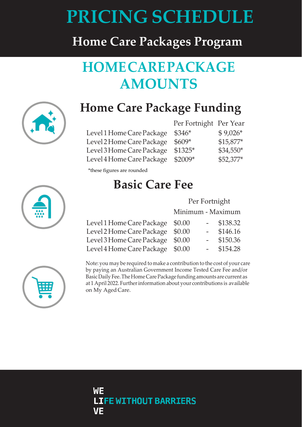# **PRICING SCHEDULE**

## **Home Care Packages Program**

# **HOMECAREPACKAGE AMOUNTS**



# **Home Care Package Funding**

Level 1 Home Care Package Level 2 Home Care Package Level 3 Home Care Package Level 4 Home Care Package

| Per Fortnight Per Year |            |
|------------------------|------------|
| $$346*$                | $$9,026*$  |
| $$609*$                | $$15,877*$ |
| \$1325*                | $$34,550*$ |
| \$2009*                | \$52,377*  |

\*these figures are rounded

# **Basic Care Fee**

#### Per Fortnight

Minimum - Maximum

| Level 1 Home Care Package \$0.00 |                     | $-$ \$138.32 |
|----------------------------------|---------------------|--------------|
| Level 2 Home Care Package \$0.00 | $\omega_{\rm{max}}$ | \$146.16     |
| Level 3 Home Care Package \$0.00 | $\sim$ 100 $\sim$   | \$150.36     |
| Level 4 Home Care Package \$0.00 |                     | $-$ \$154.28 |



Note: you may be required to make a contribution to the cost of your care by paying an Australian Government Income Tested Care Fee and/or Basic Daily Fee. The Home Care Package funding amounts are current as at 1 April 2022. Further information about your contributions is available on My Aged Care.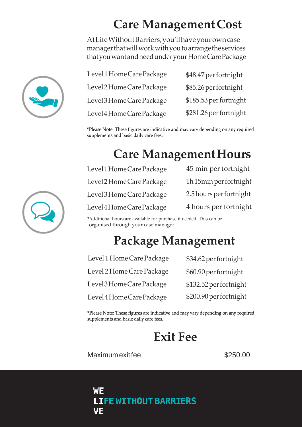# **Care ManagementCost**

AtLifeWithoutBarriers,you'llhaveyourowncase managerthatwillworkwithyoutoarrangetheservices thatyouwantandneedunderyourHomeCarePackage

| Level 1 Home Care Package | \$48.47 per fortnight  |
|---------------------------|------------------------|
| Level 2 Home Care Package | \$85.26 per fortnight  |
| Level 3 Home Care Package | \$185.53 per fortnight |
| Level4 Home Care Package  | \$281.26 per fortnight |

\*Please Note: These figures are indicative and may vary depending on any required supplements and basic daily care fees.

# **Care ManagementHours**

| Level 1 Home Care Package | 45 min per fortnight    |
|---------------------------|-------------------------|
| Level 2 Home Care Package | 1h15min per fortnight   |
| Level 3 Home Care Package | 2.5 hours per fortnight |
| Level4HomeCarePackage     | 4 hours per fortnight   |

\*Additional hours are available for purchase if needed. This can be organised through your case manager.

## **Package Management**

| Level 1 Home Care Package | \$34.62 per fortnight  |
|---------------------------|------------------------|
| Level 2 Home Care Package | \$60.90 per fortnight  |
| Level3HomeCarePackage     | \$132.52 per fortnight |
| Level 4 Home Care Package | \$200.90 per fortnight |

\*Please Note: These figures are indicative and may vary depending on any required supplements and basic daily care fees.

#### **Exit Fee**

Maximum exit fee  $$250.00$ 





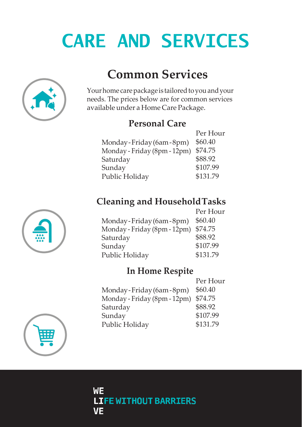# **CARE AND SERVICES**



**Common Services**

Your home care package is tailored to you and your needs. The prices below are for common services available under a Home Care Package.

#### **Personal Care**

| Per Hour |
|----------|
| \$60.40  |
| \$74.75  |
| \$88.92  |
| \$107.99 |
| \$131.79 |
|          |

#### **Cleaning and HouseholdTasks**

|                              | Per Hour |
|------------------------------|----------|
| Monday-Friday (6am-8pm)      | \$60.40  |
| Monday - Friday (8pm - 12pm) | \$74.75  |
| Saturday                     | \$88.92  |
| Sunday                       | \$107.99 |
| Public Holiday               | \$131.79 |
|                              |          |

#### **In Home Respite**

|                              | Per Hour |
|------------------------------|----------|
| Monday-Friday (6am-8pm)      | \$60.40  |
| Monday - Friday (8pm - 12pm) | \$74.75  |
| Saturday                     | \$88.92  |
| Sunday                       | \$107.99 |
| Public Holiday               | \$131.79 |